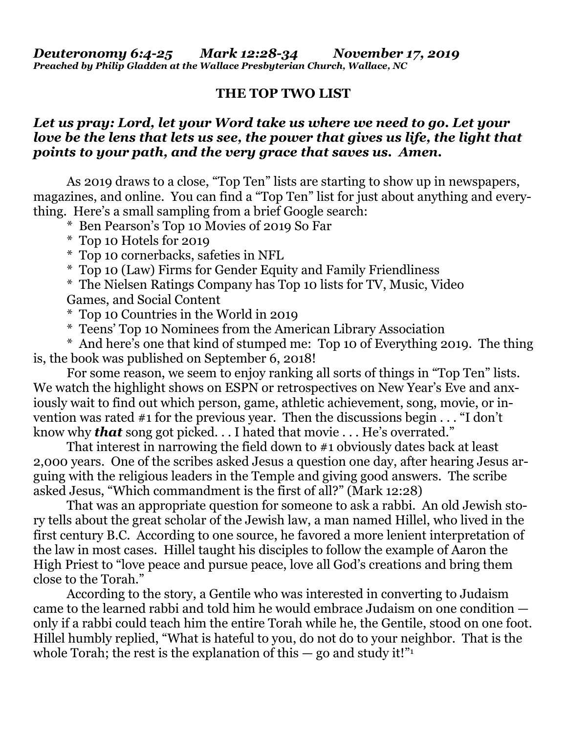## **THE TOP TWO LIST**

## *Let us pray: Lord, let your Word take us where we need to go. Let your love be the lens that lets us see, the power that gives us life, the light that points to your path, and the very grace that saves us. Amen.*

As 2019 draws to a close, "Top Ten" lists are starting to show up in newspapers, magazines, and online. You can find a "Top Ten" list for just about anything and everything. Here's a small sampling from a brief Google search:

\* Ben Pearson's Top 10 Movies of 2019 So Far

- \* Top 10 Hotels for 2019
- \* Top 10 cornerbacks, safeties in NFL
- \* Top 10 (Law) Firms for Gender Equity and Family Friendliness

\* The Nielsen Ratings Company has Top 10 lists for TV, Music, Video Games, and Social Content

- \* Top 10 Countries in the World in 2019
- \* Teens' Top 10 Nominees from the American Library Association

\* And here's one that kind of stumped me: Top 10 of Everything 2019. The thing is, the book was published on September 6, 2018!

For some reason, we seem to enjoy ranking all sorts of things in "Top Ten" lists. We watch the highlight shows on ESPN or retrospectives on New Year's Eve and anxiously wait to find out which person, game, athletic achievement, song, movie, or invention was rated #1 for the previous year. Then the discussions begin . . . "I don't know why *that* song got picked. . . I hated that movie . . . He's overrated."

That interest in narrowing the field down to #1 obviously dates back at least 2,000 years. One of the scribes asked Jesus a question one day, after hearing Jesus arguing with the religious leaders in the Temple and giving good answers. The scribe asked Jesus, "Which commandment is the first of all?" (Mark 12:28)

That was an appropriate question for someone to ask a rabbi. An old Jewish story tells about the great scholar of the Jewish law, a man named Hillel, who lived in the first century B.C. According to one source, he favored a more lenient interpretation of the law in most cases. Hillel taught his disciples to follow the example of Aaron the High Priest to "love peace and pursue peace, love all God's creations and bring them close to the Torah."

According to the story, a Gentile who was interested in converting to Judaism came to the learned rabbi and told him he would embrace Judaism on one condition only if a rabbi could teach him the entire Torah while he, the Gentile, stood on one foot. Hillel humbly replied, "What is hateful to you, do not do to your neighbor. That is the whole Torah; the rest is the explanation of this  $-$  go and study it!"<sup>1</sup>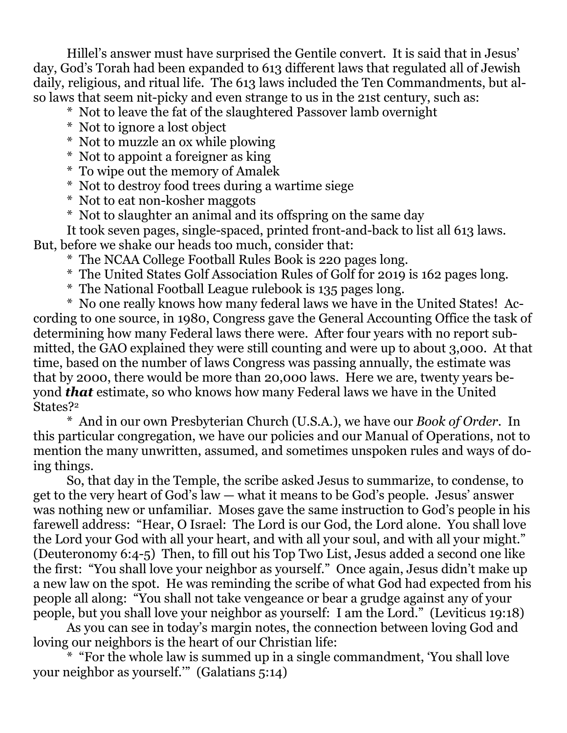Hillel's answer must have surprised the Gentile convert. It is said that in Jesus' day, God's Torah had been expanded to 613 different laws that regulated all of Jewish daily, religious, and ritual life. The 613 laws included the Ten Commandments, but also laws that seem nit-picky and even strange to us in the 21st century, such as:

- \* Not to leave the fat of the slaughtered Passover lamb overnight
- \* Not to ignore a lost object
- \* Not to muzzle an ox while plowing
- \* Not to appoint a foreigner as king
- \* To wipe out the memory of Amalek
- \* Not to destroy food trees during a wartime siege
- \* Not to eat non-kosher maggots
- \* Not to slaughter an animal and its offspring on the same day

It took seven pages, single-spaced, printed front-and-back to list all 613 laws. But, before we shake our heads too much, consider that:

\* The NCAA College Football Rules Book is 220 pages long.

- \* The United States Golf Association Rules of Golf for 2019 is 162 pages long.
- \* The National Football League rulebook is 135 pages long.

\* No one really knows how many federal laws we have in the United States! According to one source, in 1980, Congress gave the General Accounting Office the task of determining how many Federal laws there were. After four years with no report submitted, the GAO explained they were still counting and were up to about 3,000. At that time, based on the number of laws Congress was passing annually, the estimate was that by 2000, there would be more than 20,000 laws. Here we are, twenty years beyond *that* estimate, so who knows how many Federal laws we have in the United States?<sup>2</sup>

\* And in our own Presbyterian Church (U.S.A.), we have our *Book of Order*. In this particular congregation, we have our policies and our Manual of Operations, not to mention the many unwritten, assumed, and sometimes unspoken rules and ways of doing things.

So, that day in the Temple, the scribe asked Jesus to summarize, to condense, to get to the very heart of God's law — what it means to be God's people. Jesus' answer was nothing new or unfamiliar. Moses gave the same instruction to God's people in his farewell address: "Hear, O Israel: The Lord is our God, the Lord alone. You shall love the Lord your God with all your heart, and with all your soul, and with all your might." (Deuteronomy 6:4-5) Then, to fill out his Top Two List, Jesus added a second one like the first: "You shall love your neighbor as yourself." Once again, Jesus didn't make up a new law on the spot. He was reminding the scribe of what God had expected from his people all along: "You shall not take vengeance or bear a grudge against any of your people, but you shall love your neighbor as yourself: I am the Lord." (Leviticus 19:18)

As you can see in today's margin notes, the connection between loving God and loving our neighbors is the heart of our Christian life:

\* "For the whole law is summed up in a single commandment, 'You shall love your neighbor as yourself.'" (Galatians 5:14)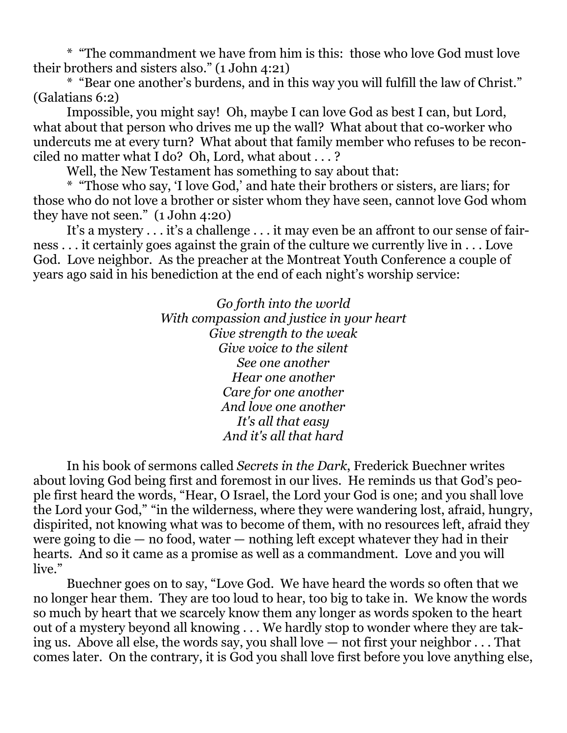\* "The commandment we have from him is this: those who love God must love their brothers and sisters also." (1 John 4:21)

\* "Bear one another's burdens, and in this way you will fulfill the law of Christ." (Galatians 6:2)

Impossible, you might say! Oh, maybe I can love God as best I can, but Lord, what about that person who drives me up the wall? What about that co-worker who undercuts me at every turn? What about that family member who refuses to be reconciled no matter what I do? Oh, Lord, what about . . . ?

Well, the New Testament has something to say about that:

\* "Those who say, 'I love God,' and hate their brothers or sisters, are liars; for those who do not love a brother or sister whom they have seen, cannot love God whom they have not seen." (1 John 4:20)

It's a mystery . . . it's a challenge . . . it may even be an affront to our sense of fairness . . . it certainly goes against the grain of the culture we currently live in . . . Love God. Love neighbor. As the preacher at the Montreat Youth Conference a couple of years ago said in his benediction at the end of each night's worship service:

> *Go forth into the world With compassion and justice in your heart Give strength to the weak Give voice to the silent See one another Hear one another Care for one another And love one another It's all that easy And it's all that hard*

In his book of sermons called *Secrets in the Dark*, Frederick Buechner writes about loving God being first and foremost in our lives. He reminds us that God's people first heard the words, "Hear, O Israel, the Lord your God is one; and you shall love the Lord your God," "in the wilderness, where they were wandering lost, afraid, hungry, dispirited, not knowing what was to become of them, with no resources left, afraid they were going to die  $-$  no food, water  $-$  nothing left except whatever they had in their hearts. And so it came as a promise as well as a commandment. Love and you will live."

Buechner goes on to say, "Love God. We have heard the words so often that we no longer hear them. They are too loud to hear, too big to take in. We know the words so much by heart that we scarcely know them any longer as words spoken to the heart out of a mystery beyond all knowing . . . We hardly stop to wonder where they are taking us. Above all else, the words say, you shall love — not first your neighbor . . . That comes later. On the contrary, it is God you shall love first before you love anything else,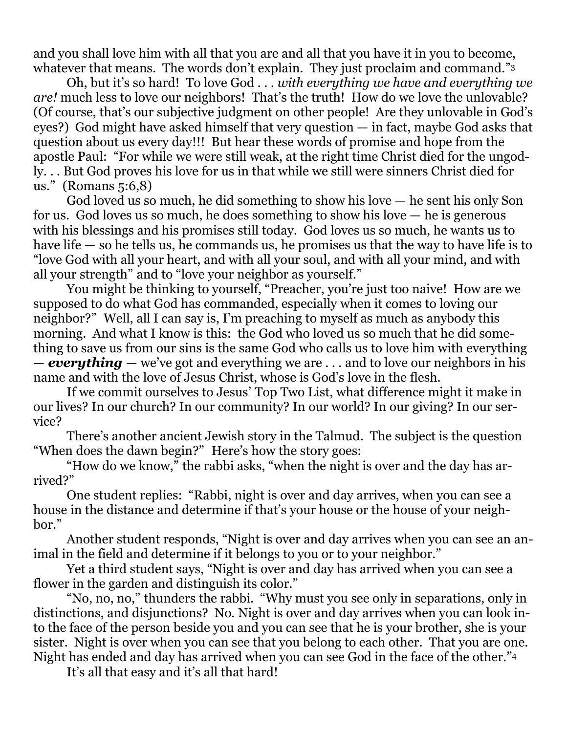and you shall love him with all that you are and all that you have it in you to become, whatever that means. The words don't explain. They just proclaim and command." 3

Oh, but it's so hard! To love God . . . *with everything we have and everything we are!* much less to love our neighbors! That's the truth! How do we love the unlovable? (Of course, that's our subjective judgment on other people! Are they unlovable in God's eyes?) God might have asked himself that very question — in fact, maybe God asks that question about us every day!!! But hear these words of promise and hope from the apostle Paul: "For while we were still weak, at the right time Christ died for the ungodly. . . But God proves his love for us in that while we still were sinners Christ died for us." (Romans 5:6,8)

God loved us so much, he did something to show his love — he sent his only Son for us. God loves us so much, he does something to show his love — he is generous with his blessings and his promises still today. God loves us so much, he wants us to have life — so he tells us, he commands us, he promises us that the way to have life is to "love God with all your heart, and with all your soul, and with all your mind, and with all your strength" and to "love your neighbor as yourself."

You might be thinking to yourself, "Preacher, you're just too naive! How are we supposed to do what God has commanded, especially when it comes to loving our neighbor?" Well, all I can say is, I'm preaching to myself as much as anybody this morning. And what I know is this: the God who loved us so much that he did something to save us from our sins is the same God who calls us to love him with everything — *everything* — we've got and everything we are . . . and to love our neighbors in his name and with the love of Jesus Christ, whose is God's love in the flesh.

If we commit ourselves to Jesus' Top Two List, what difference might it make in our lives? In our church? In our community? In our world? In our giving? In our service?

There's another ancient Jewish story in the Talmud. The subject is the question "When does the dawn begin?" Here's how the story goes:

"How do we know," the rabbi asks, "when the night is over and the day has arrived?"

One student replies: "Rabbi, night is over and day arrives, when you can see a house in the distance and determine if that's your house or the house of your neighbor."

Another student responds, "Night is over and day arrives when you can see an animal in the field and determine if it belongs to you or to your neighbor."

Yet a third student says, "Night is over and day has arrived when you can see a flower in the garden and distinguish its color."

"No, no, no," thunders the rabbi. "Why must you see only in separations, only in distinctions, and disjunctions? No. Night is over and day arrives when you can look into the face of the person beside you and you can see that he is your brother, she is your sister. Night is over when you can see that you belong to each other. That you are one. Night has ended and day has arrived when you can see God in the face of the other." 4

It's all that easy and it's all that hard!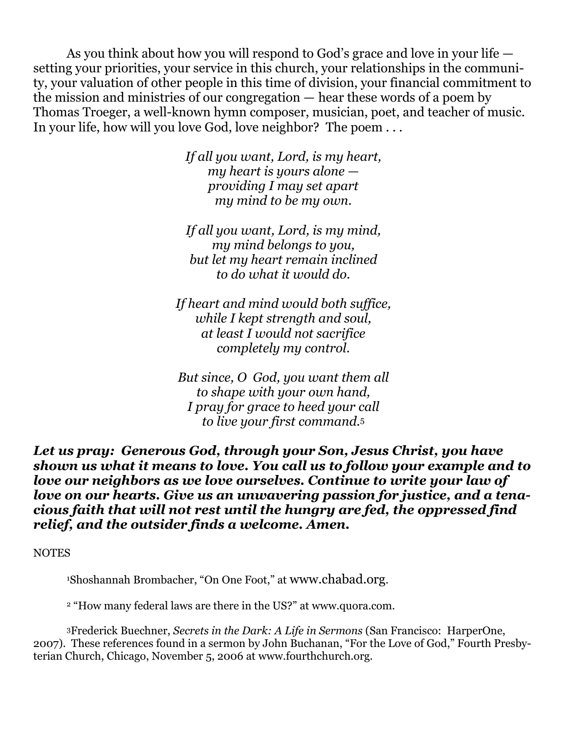As you think about how you will respond to God's grace and love in your life setting your priorities, your service in this church, your relationships in the community, your valuation of other people in this time of division, your financial commitment to the mission and ministries of our congregation — hear these words of a poem by Thomas Troeger, a well-known hymn composer, musician, poet, and teacher of music. In your life, how will you love God, love neighbor? The poem . . .

> *If all you want, Lord, is my heart, my heart is yours alone providing I may set apart my mind to be my own.*

> *If all you want, Lord, is my mind, my mind belongs to you, but let my heart remain inclined to do what it would do.*

*If heart and mind would both suffice, while I kept strength and soul, at least I would not sacrifice completely my control.*

*But since, O God, you want them all to shape with your own hand, I pray for grace to heed your call to live your first command.*<sup>5</sup>

*Let us pray: Generous God, through your Son, Jesus Christ, you have shown us what it means to love. You call us to follow your example and to love our neighbors as we love ourselves. Continue to write your law of love on our hearts. Give us an unwavering passion for justice, and a tenacious faith that will not rest until the hungry are fed, the oppressed find relief, and the outsider finds a welcome. Amen.*

NOTES

<sup>1</sup>Shoshannah Brombacher, "On One Foot," at [www.chabad.org](http://www.chabad.org/).

<sup>2</sup> "How many federal laws are there in the US?" at [www.quora.com.](http://www.quora.com/)

<sup>3</sup>Frederick Buechner, *Secrets in the Dark: A Life in Sermons* (San Francisco: HarperOne, 2007). These references found in a sermon by John Buchanan, "For the Love of God," Fourth Presbyterian Church, Chicago, November 5, 2006 at [www.fourthchurch.org.](http://www.fourthchurch.org/)